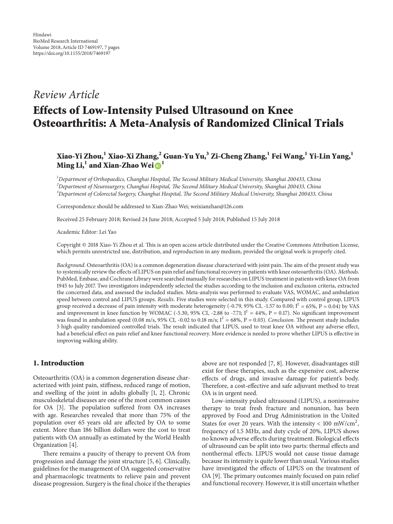## *Review Article*

# **Effects of Low-Intensity Pulsed Ultrasound on Knee Osteoarthritis: A Meta-Analysis of Randomized Clinical Trials**

## **Xiao-Yi Zhou,1 Xiao-Xi Zhang,2 Guan-Yu Yu,3 Zi-Cheng Zhang,<sup>1</sup> Fei Wang,1 Yi-Lin Yang,1 M[i](http://orcid.org/0000-0003-3439-168X)ng Li,<sup>1</sup> and Xian-Zhao Wei** $\mathbf{D}^1$

*1 Department of Orthopaedics, Changhai Hospital, Te Second Military Medical University, Shanghai 200433, China 2 Department of Neurosurgery, Changhai Hospital, Te Second Military Medical University, Shanghai 200433, China* <sup>3</sup> Department of Colorectal Surgery, Changhai Hospital, The Second Military Medical University, Shanghai 200433, China

Correspondence should be addressed to Xian-Zhao Wei; weixianzhao@126.com

Received 25 February 2018; Revised 24 June 2018; Accepted 5 July 2018; Published 15 July 2018

Academic Editor: Lei Yao

Copyright © 2018 Xiao-Yi Zhou et al. Tis is an open access article distributed under the Creative Commons Attribution License, which permits unrestricted use, distribution, and reproduction in any medium, provided the original work is properly cited.

*Background*. Osteoarthritis (OA) is a common degeneration disease characterized with joint pain. The aim of the present study was to systemically review the efects of LIPUS on pain relief and functional recovery in patients with knee osteoarthritis (OA). *Methods*. PubMed, Embase, and Cochrane Library were searched manually for researches on LIPUS treatment in patients with knee OA from 1945 to July 2017. Two investigators independently selected the studies according to the inclusion and exclusion criteria, extracted the concerned data, and assessed the included studies. Meta-analysis was performed to evaluate VAS, WOMAC, and ambulation speed between control and LIPUS groups. *Results*. Five studies were selected in this study. Compared with control group, LIPUS group received a decrease of pain intensity with moderate heterogeneity (-0.79, 95% CI, -1.57 to 0.00;  $I^2 = 65$ %,  $P = 0.04$ ) by VAS and improvement in knee function by WOMAC (-5.30, 95% CI, -2.88 to -7.71;  $I^2 = 44\%$ ,  $P = 0.17$ ). No significant improvement was found in ambulation speed (0.08 m/s, 95% CI, -0.02 to 0.18 m/s;  $I^2 = 68\%$ , P = 0.03). *Conclusion*. The present study includes 5 high quality randomized controlled trials. The result indicated that LIPUS, used to treat knee OA without any adverse effect, had a benefcial efect on pain relief and knee functional recovery. More evidence is needed to prove whether LIPUS is efective in improving walking ability.

## **1. Introduction**

Osteoarthritis (OA) is a common degeneration disease characterized with joint pain, stifness, reduced range of motion, and swelling of the joint in adults globally [\[1,](#page-5-0) [2](#page-5-1)]. Chronic musculoskeletal diseases are one of the most common causes for OA [\[3](#page-5-2)]. The population suffered from OA increases with age. Researches revealed that more than 75% of the population over 65 years old are afected by OA to some extent. More than 186 billion dollars were the cost to treat patients with OA annually as estimated by the World Health Organization [\[4\]](#page-5-3).

There remains a paucity of therapy to prevent OA from progression and damage the joint structure [\[5](#page-5-4), [6\]](#page-5-5). Clinically, guidelines for the management of OA suggested conservative and pharmacologic treatments to relieve pain and prevent disease progression. Surgery is the fnal choice if the therapies

above are not responded [\[7,](#page-5-6) [8\]](#page-5-7). However, disadvantages still exist for these therapies, such as the expensive cost, adverse efects of drugs, and invasive damage for patient's body. Therefore, a cost-effective and safe adjuvant method to treat OA is in urgent need.

Low-intensity pulsed ultrasound (LIPUS), a noninvasive therapy to treat fresh fracture and nonunion, has been approved by Food and Drug Administration in the United States for over 20 years. With the intensity < 100 mW/cm<sup>2</sup>, frequency of 1.5 MHz, and duty cycle of 20%, LIPUS shows no known adverse efects during treatment. Biological efects of ultrasound can be split into two parts: thermal efects and nonthermal efects. LIPUS would not cause tissue damage because its intensity is quite lower than usual. Various studies have investigated the efects of LIPUS on the treatment of OA [\[9](#page-5-8)]. The primary outcomes mainly focused on pain relief and functional recovery. However, it is still uncertain whether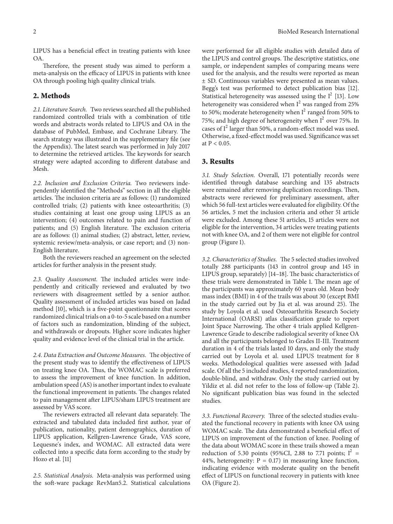LIPUS has a benefcial efect in treating patients with knee OA.

Therefore, the present study was aimed to perform a meta-analysis on the efficacy of LIPUS in patients with knee OA through pooling high quality clinical trials.

## **2. Methods**

*2.1. Literature Search.* Two reviews searched all the published randomized controlled trials with a combination of title words and abstracts words related to LIPUS and OA in the database of PubMed, Embase, and Cochrane Library. The search strategy was illustrated in the supplementary fle (see the Appendix). The latest search was performed in July 2017 to determine the retrieved articles. The keywords for search strategy were adapted according to diferent database and Mesh.

*2.2. Inclusion and Exclusion Criteria.* Two reviewers independently identifed the "Methods" section in all the eligible articles. The inclusion criteria are as follows: (1) randomized controlled trials; (2) patients with knee osteoarthritis; (3) studies containing at least one group using LIPUS as an intervention; (4) outcomes related to pain and function of patients; and (5) English literature. The exclusion criteria are as follows: (1) animal studies; (2) abstract, letter, review, systemic review/meta-analysis, or case report; and (3) non-English literature.

Both the reviewers reached an agreement on the selected articles for further analysis in the present study.

2.3. Quality Assessment. The included articles were independently and critically reviewed and evaluated by two reviewers with disagreement settled by a senior author. Quality assessment of included articles was based on Jadad method [\[10](#page-5-9)], which is a fve-point questionnaire that scores randomized clinical trials on a 0-to-5 scale based on a number of factors such as randomization, blinding of the subject, and withdrawals or dropouts. Higher score indicates higher quality and evidence level of the clinical trial in the article.

2.4. Data Extraction and Outcome Measures. The objective of the present study was to identify the efectiveness of LIPUS on treating knee OA. Thus, the WOMAC scale is preferred to assess the improvement of knee function. In addition, ambulation speed (AS) is another important index to evaluate the functional improvement in patients. The changes related to pain management after LIPUS/sham LIPUS treatment are assessed by VAS score.

The reviewers extracted all relevant data separately. The extracted and tabulated data included frst author, year of publication, nationality, patient demographics, duration of LIPUS application, Kellgren-Lawrence Grade, VAS score, Lequesne's index, and WOMAC. All extracted data were collected into a specifc data form according to the study by Hozo et al. [\[11\]](#page-5-10)

*2.5. Statistical Analysis.* Meta-analysis was performed using the soft-ware package RevMan5.2. Statistical calculations were performed for all eligible studies with detailed data of the LIPUS and control groups. The descriptive statistics, one sample, or independent samples of comparing means were used for the analysis, and the results were reported as mean ± SD. Continuous variables were presented as mean values. Begg's test was performed to detect publication bias [\[12\]](#page-5-11). Statistical heterogeneity was assessed using the  $I^2$  [\[13\]](#page-5-12). Low heterogeneity was considered when  $I^2$  was ranged from 25% to 50%; moderate heterogeneity when  $I^2$  ranged from 50% to 75%; and high degree of heterogeneity when  $I^2$  over 75%. In cases of  $I^2$  larger than 50%, a random-effect model was used. Otherwise, a fxed-efect model was used. Signifcance was set at  $P < 0.05$ .

#### **3. Results**

*3.1. Study Selection.* Overall, 171 potentially records were identifed through database searching and 135 abstracts were remained after removing duplication recordings. Then, abstracts were reviewed for preliminary assessment, afer which 56 full-text articles were evaluated for eligibility. Of the 56 articles, 5 met the inclusion criteria and other 51 article were excluded. Among these 51 articles, 15 articles were not eligible for the intervention, 34 articles were treating patients not with knee OA, and 2 of them were not eligible for control group (Figure [1\)](#page-2-0).

3.2. Characteristics of Studies. The 5 selected studies involved totally 288 participants (143 in control group and 145 in LIPUS group, separately) [\[14](#page-5-13)[–18\]](#page-6-0). The basic characteristics of these trials were demonstrated in Table [1.](#page-3-0) The mean age of the participants was approximately 60 years old. Mean body mass index (BMI) in 4 of the trails was about 30 (except BMI in the study carried out by Jia et al. was around 25). The study by Loyola et al. used Osteoarthritis Research Society International (OARSI) atlas classifcation grade to report Joint Space Narrowing. The other 4 trials applied Kellgren-Lawrence Grade to describe radiological severity of knee OA and all the participants belonged to Grades II-III. Treatment duration in 4 of the trials lasted 10 days, and only the study carried out by Loyola et al. used LIPUS treatment for 8 weeks. Methodological qualities were assessed with Jadad scale. Of all the 5 included studies, 4 reported randomization, double-blind, and withdraw. Only the study carried out by Yildiz et al. did not refer to the loss of follow-up (Table [2\)](#page-4-0). No signifcant publication bias was found in the selected studies.

3.3. Functional Recovery. Three of the selected studies evaluated the functional recovery in patients with knee OA using WOMAC scale. The data demonstrated a beneficial effect of LIPUS on improvement of the function of knee. Pooling of the data about WOMAC score in these trails showed a mean reduction of 5.30 points (95%CI, 2.88 to 7.71 points;  $I^2$  = 44%, heterogeneity:  $P = 0.17$ ) in measuring knee function, indicating evidence with moderate quality on the beneft efect of LIPUS on functional recovery in patients with knee OA (Figure [2\)](#page-4-1).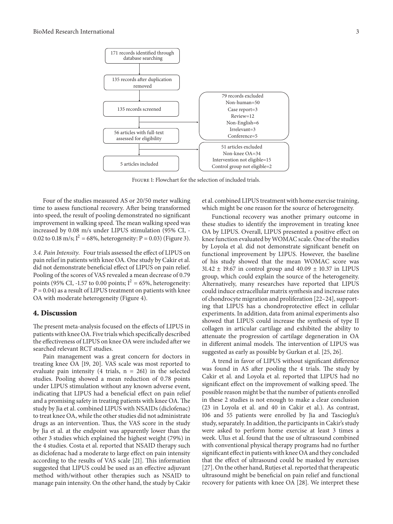

<span id="page-2-0"></span>Figure 1: Flowchart for the selection of included trials.

Four of the studies measured AS or 20/50 meter walking time to assess functional recovery. Afer being transformed into speed, the result of pooling demonstrated no signifcant improvement in walking speed. The mean walking speed was increased by 0.08 m/s under LIPUS stimulation (95% CI, - 0.02 to 0.18 m/s;  $I^2 = 68\%$ , heterogeneity: P = 0.03) (Figure [3\)](#page-4-2).

3.4. Pain Intensity. Four trials assessed the effect of LIPUS on pain relief in patients with knee OA. One study by Cakir et al. did not demonstrate beneficial effect of LIPUS on pain relief. Pooling of the scores of VAS revealed a mean decrease of 0.79 points (95% CI, -1.57 to 0.00 points;  $I^2 = 65$ %, heterogeneity:  $P = 0.04$ ) as a result of LIPUS treatment on patients with knee OA with moderate heterogeneity (Figure [4\)](#page-4-3).

#### **4. Discussion**

The present meta-analysis focused on the effects of LIPUS in patients with knee OA. Five trials which specifcally described the efectiveness of LIPUS on knee OA were included afer we searched relevant RCT studies.

Pain management was a great concern for doctors in treating knee OA [\[19,](#page-6-1) [20](#page-6-2)]. VAS scale was most reported to evaluate pain intensity (4 trials,  $n = 261$ ) in the selected studies. Pooling showed a mean reduction of 0.78 points under LIPUS stimulation without any known adverse event, indicating that LIPUS had a beneficial effect on pain relief and a promising safety in treating patients with knee OA. The study by Jia et al. combined LIPUS with NSAIDs (diclofenac) to treat knee OA, while the other studies did not administrate drugs as an intervention. Thus, the VAS score in the study by Jia et al. at the endpoint was apparently lower than the other 3 studies which explained the highest weight (79%) in the 4 studies. Costa et al. reported that NSAID therapy such as diclofenac had a moderate to large efect on pain intensity according to the results of VAS scale [\[21\]](#page-6-3). This information suggested that LIPUS could be used as an efective adjuvant method with/without other therapies such as NSAID to manage pain intensity. On the other hand, the study by Cakir

et al. combined LIPUS treatment with home exercise training, which might be one reason for the source of heterogeneity.

Functional recovery was another primary outcome in these studies to identify the improvement in treating knee OA by LIPUS. Overall, LIPUS presented a positive efect on knee function evaluated byWOMAC scale. One of the studies by Loyola et al. did not demonstrate signifcant beneft on functional improvement by LIPUS. However, the baseline of his study showed that the mean WOMAC score was  $31.42 \pm 19.67$  in control group and  $40.09 \pm 10.37$  in LIPUS group, which could explain the source of the heterogeneity. Alternatively, many researches have reported that LIPUS could induce extracellular matrix synthesis and increase rates of chondrocyte migration and proliferation [\[22](#page-6-4)[–24\]](#page-6-5), supporting that LIPUS has a chondroprotective efect in cellular experiments. In addition, data from animal experiments also showed that LIPUS could increase the synthesis of type II collagen in articular cartilage and exhibited the ability to attenuate the progression of cartilage degeneration in OA in different animal models. The intervention of LIPUS was suggested as early as possible by Gurkan et al. [\[25](#page-6-6), [26](#page-6-7)].

A trend in favor of LIPUS without signifcant diference was found in AS after pooling the 4 trials. The study by Cakir et al. and Loyola et al. reported that LIPUS had no significant effect on the improvement of walking speed. The possible reason might be that the number of patients enrolled in these 2 studies is not enough to make a clear conclusion (23 in Loyola et al. and 40 in Cakir et al.). As contrast, 106 and 55 patients were enrolled by Jia and Tascioglu's study, separately. In addition, the participants in Cakir's study were asked to perform home exercise at least 3 times a week. Ulus et al. found that the use of ultrasound combined with conventional physical therapy programs had no further signifcant efect in patients with knee OA and they concluded that the efect of ultrasound could be masked by exercises [\[27](#page-6-8)]. On the other hand, Rutjes et al. reported that therapeutic ultrasound might be benefcial on pain relief and functional recovery for patients with knee OA [\[28](#page-6-9)]. We interpret these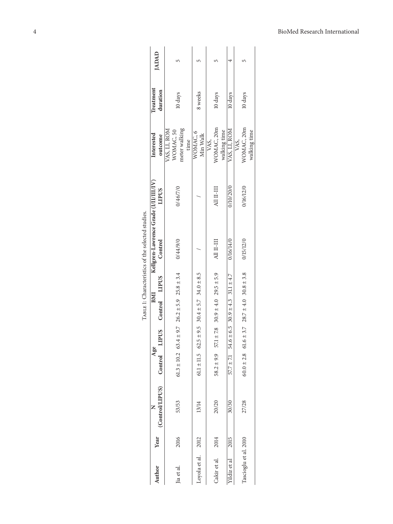|                       |      |                 |                        |                             |                                         |     | TABLE 1: Characteristics of the selected studies. |              |                                                    |                       |              |
|-----------------------|------|-----------------|------------------------|-----------------------------|-----------------------------------------|-----|---------------------------------------------------|--------------|----------------------------------------------------|-----------------------|--------------|
| Author                | Year | (Control/LIPUS) |                        | Age                         |                                         | BMI | Kellgren-Lawrence Grade (I/II/III/IV)<br>Control  | <b>LIPUS</b> | Interested<br>outcome                              | Treatment<br>duration | <b>IADAD</b> |
|                       |      |                 |                        | Control LIPUS Control LIPUS |                                         |     |                                                   |              |                                                    |                       |              |
| lia et al.            | 2016 | 53/53           | $61.3 \pm 10.2$ 63.4   |                             | $\pm$ 9.7 26.2 $\pm$ 5.9 25.8 $\pm$ 3.4 |     | 0/44/9/0                                          | 0/46/7/0     | meter walking<br>VAS, LI, ROM<br>WOMAC, 50<br>time | 10 days               | 5            |
| Loyola et al.         | 2012 | 13/14           | $61.1 \pm 11.5$ $62.5$ |                             | $\pm 9.5$ 30.4 $\pm 5.7$ 34.0 $\pm 8.5$ |     |                                                   |              | WOMAC, 6<br>Min Walk                               | 8 weeks               |              |
| Cakir et al.          | 2014 | 20/20           | $58.2 \pm 9.9$         | 57.1                        | $\pm 7.8$ 30.9 $\pm 4.0$ 29.5 $\pm 5.9$ |     | А11 II-III                                        | All II-III   | WOMAC, 20m<br>walking time<br>VAS,                 | 10 days               |              |
| fildiz et al          | 2015 | 30/30           | $57.7 \pm 7.1$         | 54.6                        | $\pm 6.5$ 30.9 $\pm 4.3$ 31.1 $\pm 4.7$ |     | 0/16/14/0                                         | 0/10/20/0    | VAS, LI, ROM                                       | 10 days               |              |
| Tascioglu et al. 2010 |      | 27/28           | $60.0 \pm 2.8$         | 61.6                        | $\pm 3.7$ 28.7 $\pm 4.0$ 30.8 $\pm 3.8$ |     | 0/15/12/0                                         | 0/16/12/0    | WOMAC, 20m<br>walking time<br>VAS,                 | 10 days               |              |

<span id="page-3-0"></span>

| ;<br>;<br>$\ddot{\phantom{0}}$ |  |
|--------------------------------|--|
| alactar                        |  |
| ے م<br>ι.                      |  |
| 25.424777777777<br>í           |  |
|                                |  |
|                                |  |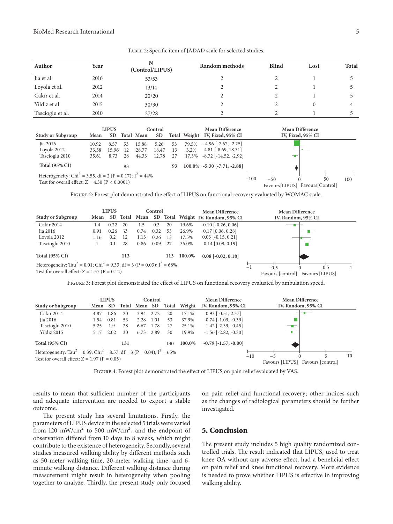<span id="page-4-0"></span>Table 2: Specifc item of JADAD scale for selected studies.

| Author           | Year | (Control/LIPUS) | Random methods | <b>Blind</b> | Lost | <b>Total</b> |
|------------------|------|-----------------|----------------|--------------|------|--------------|
| Jia et al.       | 2016 | 53/53           |                |              |      |              |
| Loyola et al.    | 2012 | 13/14           |                |              |      |              |
| Cakir et al.     | 2014 | 20/20           |                |              |      |              |
| Yildiz et al     | 2015 | 30/30           |                |              | 0    |              |
| Tascioglu et al. | 2010 | 27/28           |                |              |      |              |

|                                                                                                                            |       | <b>LIPUS</b> |    |            | Control   |    | <b>Mean Difference</b> |                                |        | <b>Mean Difference</b>  |                   |                        |     |  |
|----------------------------------------------------------------------------------------------------------------------------|-------|--------------|----|------------|-----------|----|------------------------|--------------------------------|--------|-------------------------|-------------------|------------------------|-----|--|
| <b>Study or Subgroup</b>                                                                                                   | Mean  | SD.          |    | Total Mean | <b>SD</b> |    |                        | Total Weight IV, Fixed, 95% CI |        |                         | IV, Fixed, 95% CI |                        |     |  |
| Jia 2016                                                                                                                   | 10.92 | 8.57         | 53 | 15.88      | 5.26      | 53 | 79.5%                  | $-4.96$ [ $-7.67$ , $-2.25$ ]  |        |                         |                   |                        |     |  |
| Loyola 2012                                                                                                                | 33.58 | 15.96        | 12 | 28.77      | 18.47     | 13 | 3.2%                   | $4.81$ [ $-8.69$ , $18.31$ ]   |        |                         |                   |                        |     |  |
| Tascioglu 2010                                                                                                             | 35.61 | 8.73         | 28 | 44.33      | 12.78     | 27 | 17.3%                  | $-8.72$ [ $-14.52$ , $-2.92$ ] |        |                         | --                |                        |     |  |
| <b>Total (95% CI)</b>                                                                                                      |       |              | 93 |            |           | 93 |                        | $100.0\%$ -5.30 [-7.71, -2.88] |        |                         |                   |                        |     |  |
| Heterogeneity: Chi <sup>2</sup> = 3.55, df = 2 (P = 0.17); $I^2$ = 44%<br>Test for overall effect: $Z = 4.30$ (P < 0.0001) |       |              |    |            |           |    |                        |                                | $-100$ | $-50$<br>Favours[LIPUS] |                   | 50<br>Favours[Control] | 100 |  |

<span id="page-4-1"></span>Figure 2: Forest plot demonstrated the efect of LIPUS on functional recovery evaluated by WOMAC scale.

|                                                                                                                                                   |      | <b>LIPUS</b> |       |      | Control |     |        | <b>Mean Difference</b>             | <b>Mean Difference</b> |                                                    |  |  |  |  |
|---------------------------------------------------------------------------------------------------------------------------------------------------|------|--------------|-------|------|---------|-----|--------|------------------------------------|------------------------|----------------------------------------------------|--|--|--|--|
| <b>Study or Subgroup</b>                                                                                                                          | Mean | SD.          | Total | Mean |         |     |        | SD Total Weight IV, Random, 95% CI |                        | IV, Random, 95% CI                                 |  |  |  |  |
| <b>Cakir 2014</b>                                                                                                                                 | 1.4  | 0.22         | 20    | 1.5  | 0.3     | 20  | 19.6%  | $-0.10$ $[-0.26, 0.06]$            |                        |                                                    |  |  |  |  |
| Jia 2016                                                                                                                                          | 0.91 | 0.26         | 53    | 0.74 | 0.32    | 53  | 26.9%  | $0.17$ [0.06, 0.28]                |                        |                                                    |  |  |  |  |
| Loyola 2012                                                                                                                                       | 1.16 | 0.2          | 12    | 1.13 | 0.26    | 13  | 17.5%  | $0.03$ [ $-0.15$ , $0.21$ ]        |                        |                                                    |  |  |  |  |
| Tascioglu 2010                                                                                                                                    |      | 0.1          | 28    | 0.86 | 0.09    | 27  | 36.0%  | $0.14$ [0.09, 0.19]                |                        | 18                                                 |  |  |  |  |
| <b>Total (95% CI)</b>                                                                                                                             |      |              | 113   |      |         | 113 | 100.0% | $0.08$ [ $-0.02$ , $0.18$ ]        |                        |                                                    |  |  |  |  |
| Heterogeneity: Tau <sup>2</sup> = 0.01; Chi <sup>2</sup> = 9.33, df = 3 (P = 0.03); $I^2$ = 68%<br>Test for overall effect: $Z = 1.57$ (P = 0.12) |      |              |       |      |         |     |        |                                    | $-1$                   | 0.5<br>$-0.5$<br>Favours [control] Favours [LIPUS] |  |  |  |  |

<span id="page-4-2"></span>FIGURE 3: Forest plot demonstrated the effect of LIPUS on functional recovery evaluated by ambulation speed.

| <b>LIPUS</b>                                                                                                                                               |      |           |       |         | Control |       | <b>Mean Difference</b> |                               |       | <b>Mean Difference</b> |  |                   |    |  |
|------------------------------------------------------------------------------------------------------------------------------------------------------------|------|-----------|-------|---------|---------|-------|------------------------|-------------------------------|-------|------------------------|--|-------------------|----|--|
| Study or Subgroup                                                                                                                                          | Mean | <b>SD</b> | Total | Mean SD |         | Total | Weight                 | IV, Random, 95% CI            |       | IV, Random, 95% CI     |  |                   |    |  |
| Cakir 2014                                                                                                                                                 | 4.87 | 1.86      | 20    | 3.94    | 2.72    | 20    | 17.1%                  | $0.93$ [ $-0.51, 2.37$ ]      |       |                        |  |                   |    |  |
| Jia 2016                                                                                                                                                   | 1.54 | 0.81      | 53    | 2.28    | 1.01    | 53    | 37.9%                  | $-0.74$ [ $-1.09$ , $-0.39$ ] |       |                        |  |                   |    |  |
| Tascioglu 2010                                                                                                                                             | 5.25 | 1.9       | 28    | 6.67    | 1.78    | 27    | 25.1%                  | $-1.42$ $[-2.39, -0.45]$      |       | —                      |  |                   |    |  |
| Yildiz 2015                                                                                                                                                | 5.17 | 2.02      | 30    | 6.73    | 2.89    | 30    | 19.9%                  | $-1.56$ $[-2.82, -0.30]$      |       |                        |  |                   |    |  |
| <b>Total (95% CI)</b>                                                                                                                                      |      |           | 131   |         |         | 130   | 100.0%                 | $-0.79$ $[-1.57, -0.00]$      |       |                        |  |                   |    |  |
| Heterogeneity: Tau <sup>2</sup> = 0.39; Chi <sup>2</sup> = 8.57, df = 3 (P = 0.04); I <sup>2</sup> = 65%<br>Test for overall effect: $Z = 1.97$ (P = 0.05) |      |           |       |         |         |       |                        |                               | $-10$ | $-5$                   |  | 5                 | 10 |  |
|                                                                                                                                                            |      |           |       |         |         |       |                        |                               |       | Favours [LIPUS]        |  | Favours [control] |    |  |

<span id="page-4-3"></span>FIGURE 4: Forest plot demonstrated the effect of LIPUS on pain relief evaluated by VAS.

results to mean that sufficient number of the participants and adequate intervention are needed to export a stable outcome.

The present study has several limitations. Firstly, the parameters of LIPUS device in the selected 5 trials were varied from 120 mW/cm<sup>2</sup> to 500 mW/cm<sup>2</sup>, and the endpoint of observation difered from 10 days to 8 weeks, which might contribute to the existence of heterogeneity. Secondly, several studies measured walking ability by diferent methods such as 50-meter walking time, 20-meter walking time, and 6 minute walking distance. Diferent walking distance during measurement might result in heterogeneity when pooling together to analyze. Thirdly, the present study only focused

on pain relief and functional recovery; other indices such as the changes of radiological parameters should be further investigated.

## **5. Conclusion**

The present study includes 5 high quality randomized controlled trials. The result indicated that LIPUS, used to treat knee OA without any adverse effect, had a beneficial effect on pain relief and knee functional recovery. More evidence is needed to prove whether LIPUS is efective in improving walking ability.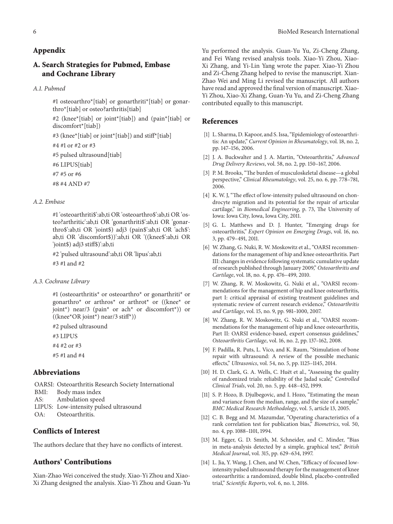## **Appendix**

## **A. Search Strategies for Pubmed, Embase and Cochrane Library**

#### *A.1. Pubmed*

#1 osteoarthro\*[tiab] or gonarthriti\*[tiab] or gonarthro\*[tiab] or osteo?arthritis[tiab]

#2 (knee\*[tiab] or joint\*[tiab]) and (pain\*[tiab] or discomfort\*[tiab])

#3 (knee\*[tiab] or joint\*[tiab]) and stif\*[tiab]

#4 #1 or #2 or #3

#5 pulsed ultrasound[tiab]

#6 LIPUS[tiab]

#7 #5 or #6

#8 #4 AND #7

## *A.2. Embase*

#1 'osteoarthriti\$':ab,ti OR 'osteoarthro\$':ab,ti OR 'osteo?arthritic':ab,ti OR 'gonarthriti\$':ab,ti OR 'gonarthro\$':ab,ti OR 'joint\$) adj3 (pain\$':ab,ti OR 'ach\$': ab,ti OR 'discomfort\$))':ab,ti OR '((knee\$':ab,ti OR 'joint\$) adj3 stif\$)':ab,ti

#2 'pulsed ultrasound':ab,ti OR 'lipus':ab,ti #3 #1 and #2

#### *A.3. Cochrane Library*

#1 (osteoarthritis\* or osteoarthro\* or gonarthriti\* or gonarthro\* or arthros\* or arthrot\* or ((knee\* or joint\*) near/3 (pain\* or ach\* or discomfort\*)) or  $((\text{knee}^* \text{OR joint}^*) \text{ near}/3 \text{ stiff}^*))$ 

#2 pulsed ultrasound

#3 LIPUS

#4 #2 or #3

#5 #1 and #4

## **Abbreviations**

OARSI: Osteoarthritis Research Society International BMI: Body mass index

AS: Ambulation speed

- LIPUS: Low-intensity pulsed ultrasound
- OA: Osteoarthritis.

## **Conflicts of Interest**

The authors declare that they have no conflicts of interest.

## **Authors' Contributions**

Xian-Zhao Wei conceived the study. Xiao-Yi Zhou and Xiao-Xi Zhang designed the analysis. Xiao-Yi Zhou and Guan-Yu Yu performed the analysis. Guan-Yu Yu, Zi-Cheng Zhang, and Fei Wang revised analysis tools. Xiao-Yi Zhou, Xiao-Xi Zhang, and Yi-Lin Yang wrote the paper. Xiao-Yi Zhou and Zi-Cheng Zhang helped to revise the manuscript. Xian-Zhao Wei and Ming Li revised the manuscript. All authors have read and approved the fnal version of manuscript. Xiao-Yi Zhou, Xiao-Xi Zhang, Guan-Yu Yu, and Zi-Cheng Zhang contributed equally to this manuscript.

## **References**

- <span id="page-5-0"></span>[1] L. Sharma, D. Kapoor, and S. Issa, "Epidemiology of osteoarthritis: An update," *Current Opinion in Rheumatology*, vol. 18, no. 2, pp. 147–156, 2006.
- <span id="page-5-1"></span>[2] J. A. Buckwalter and J. A. Martin, "Osteoarthritis," *Advanced Drug Delivery Reviews*, vol. 58, no. 2, pp. 150–167, 2006.
- <span id="page-5-2"></span>[3] P. M. Brooks, "The burden of musculoskeletal disease—a global perspective," *Clinical Rheumatology*, vol. 25, no. 6, pp. 778–781, 2006.
- <span id="page-5-3"></span>[4] K. W. J, "The effect of low-intensity pulsed ultrasound on chondrocyte migration and its potential for the repair of articular cartilage," in *Biomedical Engineering*, p. 73, The University of Iowa: Iowa City, Iowa, Iowa City, 2011.
- <span id="page-5-4"></span>[5] G. L. Matthews and D. J. Hunter, "Emerging drugs for osteoarthritis," *Expert Opinion on Emerging Drugs*, vol. 16, no. 3, pp. 479–491, 2011.
- <span id="page-5-5"></span>[6] W. Zhang, G. Nuki, R. W. Moskowitz et al., "OARSI recommendations for the management of hip and knee osteoarthritis. Part III: changes in evidence following systematic cumulative update of research published through January 2009," *Osteoarthritis and Cartilage*, vol. 18, no. 4, pp. 476–499, 2010.
- <span id="page-5-6"></span>[7] W. Zhang, R. W. Moskowitz, G. Nuki et al., "OARSI recommendations for the management of hip and knee osteoarthritis, part I: critical appraisal of existing treatment guidelines and systematic review of current research evidence," *Osteoarthritis and Cartilage*, vol. 15, no. 9, pp. 981–1000, 2007.
- <span id="page-5-7"></span>[8] W. Zhang, R. W. Moskowitz, G. Nuki et al., "OARSI recommendations for the management of hip and knee osteoarthritis, Part II: OARSI evidence-based, expert consensus guidelines," *Osteoarthritis Cartilage*, vol. 16, no. 2, pp. 137–162, 2008.
- <span id="page-5-8"></span>[9] F. Padilla, R. Puts, L. Vico, and K. Raum, "Stimulation of bone repair with ultrasound: A review of the possible mechanic efects," *Ultrasonics*, vol. 54, no. 5, pp. 1125–1145, 2014.
- <span id="page-5-9"></span>[10] H. D. Clark, G. A. Wells, C. Huët et al., "Assessing the quality of randomized trials: reliability of the Jadad scale," *Controlled Clinical Trials*, vol. 20, no. 5, pp. 448–452, 1999.
- <span id="page-5-10"></span>[11] S. P. Hozo, B. Djulbegovic, and I. Hozo, "Estimating the mean and variance from the median, range, and the size of a sample," *BMC Medical Research Methodology*, vol. 5, article 13, 2005.
- <span id="page-5-11"></span>[12] C. B. Begg and M. Mazumdar, "Operating characteristics of a rank correlation test for publication bias," *Biometrics*, vol. 50, no. 4, pp. 1088–1101, 1994.
- <span id="page-5-12"></span>[13] M. Egger, G. D. Smith, M. Schneider, and C. Minder, "Bias in meta-analysis detected by a simple, graphical test," *British Medical Journal*, vol. 315, pp. 629–634, 1997.
- <span id="page-5-13"></span>[14] L. Jia, Y. Wang, J. Chen, and W. Chen, "Efficacy of focused lowintensity pulsed ultrasound therapy for the management of knee osteoarthritis: a randomized, double blind, placebo-controlled trial," *Scientifc Reports*, vol. 6, no. 1, 2016.